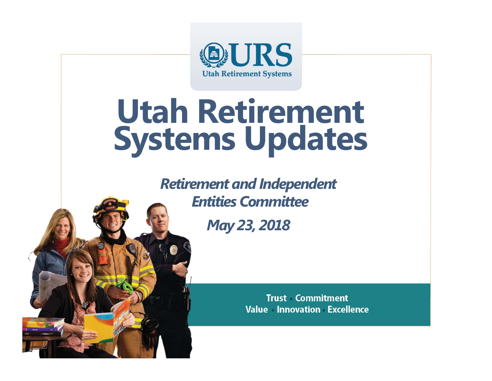

# **Utah Retirement Systems Updates**

*Retirement and Independent Entities Committee*

*May 23, 2018*

**Trust Commitment Value Innovation Excellence**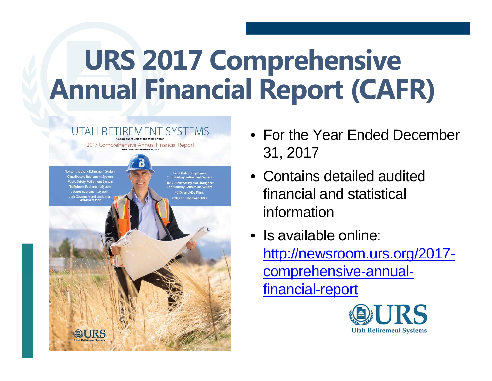# **URS 2017 Comprehensive Annual Financial Report (CAFR)**



- For the Year Ended December 31, 2017
- Contains detailed audited financial and statistical information
- Is available online: http://newsroom.urs.org/2017 comprehensive-annualfinancial-report

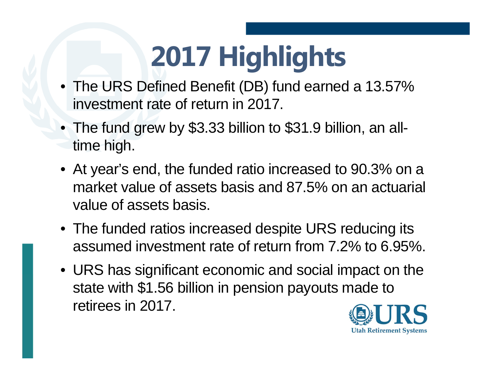# **2017 Highlights**

- The URS Defined Benefit (DB) fund earned a 13.57% investment rate of return in 2017.
- The fund grew by \$3.33 billion to \$31.9 billion, an alltime high.
- At year's end, the funded ratio increased to 90.3% on a market value of assets basis and 87.5% on an actuarial value of assets basis.
- The funded ratios increased despite URS reducing its assumed investment rate of return from 7.2% to 6.95%.
- URS has significant economic and social impact on the state with \$1.56 billion in pension payouts made to retirees in 2017.

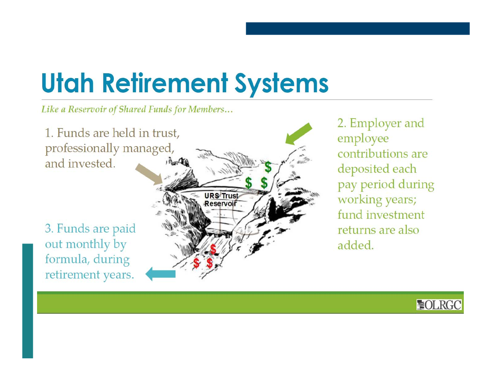# **Utah Retirement Systems**

Like a Reservoir of Shared Funds for Members...



2. Employer and employee contributions are deposited each pay period during working years; fund investment returns are also added.

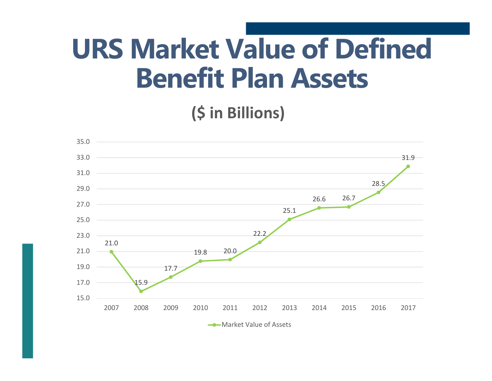# **URS Market Value of Defined Benefit Plan Assets**

**(\$ in Billions)**

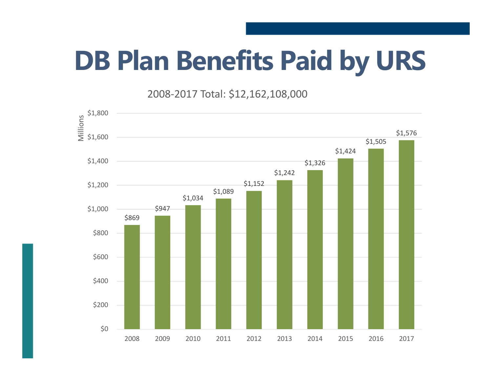# **DB Plan Benefits Paid by URS**

2008‐2017 Total: \$12,162,108,000

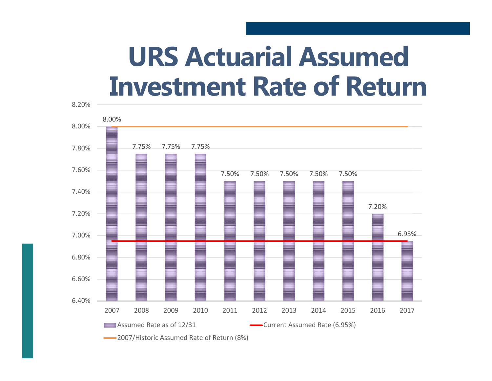### **URS Actuarial Assumed Investment Rate of Return**

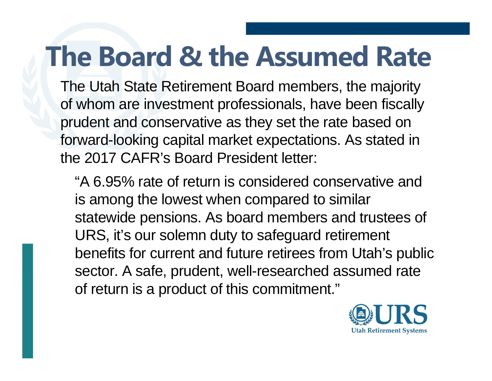# **The Board & the Assumed Rate**

The Utah State Retirement Board members, the majority of whom are investment professionals, have been fiscally prudent and conservative as they set the rate based on forward-looking capital market expectations. As stated in the 2017 CAFR's Board President letter:

"A 6.95% rate of return is considered conservative and is among the lowest when compared to similar statewide pensions. As board members and trustees of URS, it's our solemn duty to safeguard retirement benefits for current and future retirees from Utah's public sector. A safe, prudent, well-researched assumed rate of return is a product of this commitment."

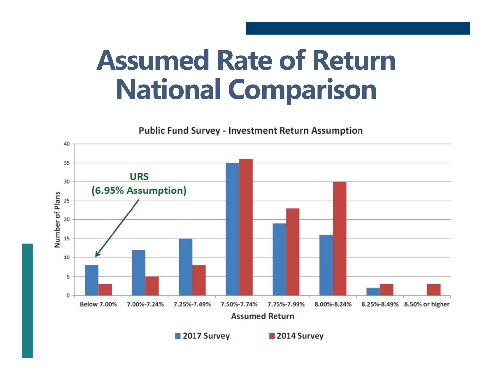# **Assumed Rate of Return National Comparison**



**Public Fund Survey - Investment Return Assumption**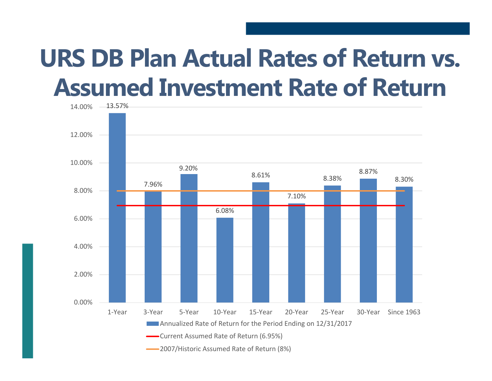### **URS DB Plan Actual Rates of Return vs. Assumed Investment Rate of Return**

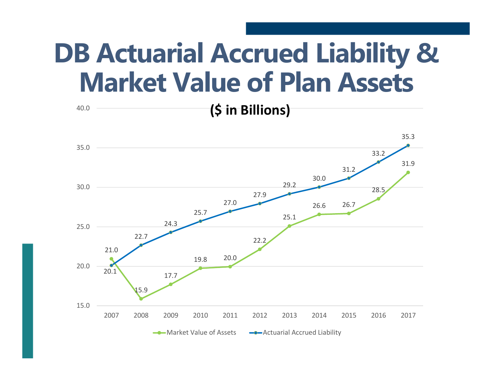# **DB Actuarial Accrued Liability & Market Value of Plan Assets**

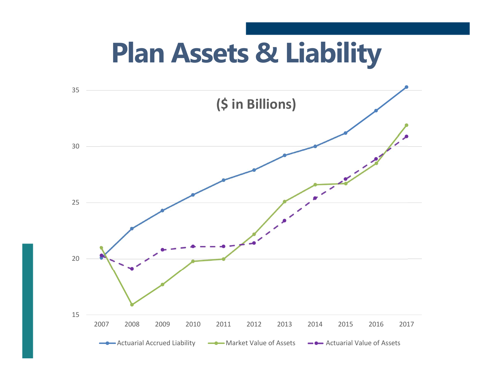# **Plan Assets & Liability**

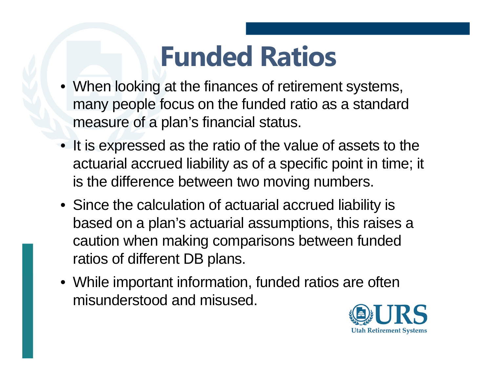# **Funded Ratios**

- When looking at the finances of retirement systems, many people focus on the funded ratio as a standard measure of a plan's financial status.
- It is expressed as the ratio of the value of assets to the actuarial accrued liability as of a specific point in time; it is the difference between two moving numbers.
- Since the calculation of actuarial accrued liability is based on a plan's actuarial assumptions, this raises a caution when making comparisons between funded ratios of different DB plans.
- While important information, funded ratios are often misunderstood and misused.

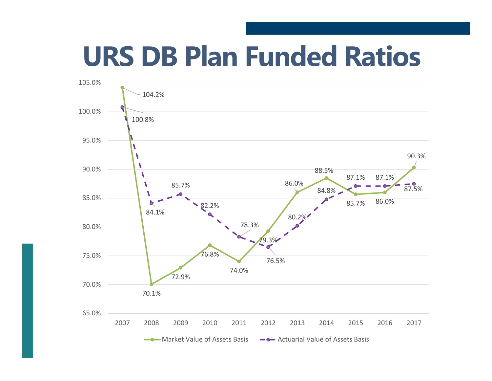# **URS DB Plan Funded Ratios**

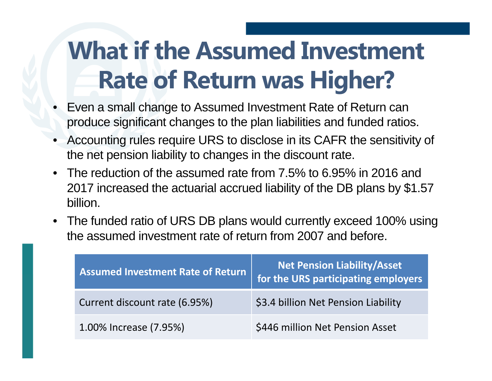### **What if the Assumed Investment Rate of Return was Higher?**

- • Even a small change to Assumed Investment Rate of Return can produce significant changes to the plan liabilities and funded ratios.
- • Accounting rules require URS to disclose in its CAFR the sensitivity of the net pension liability to changes in the discount rate.
- • The reduction of the assumed rate from 7.5% to 6.95% in 2016 and 2017 increased the actuarial accrued liability of the DB plans by \$1.57 billion.
- The funded ratio of URS DB plans would currently exceed 100% using the assumed investment rate of return from 2007 and before.

| <b>Assumed Investment Rate of Return</b> | <b>Net Pension Liability/Asset</b><br>for the URS participating employers |
|------------------------------------------|---------------------------------------------------------------------------|
| Current discount rate (6.95%)            | \$3.4 billion Net Pension Liability                                       |
| 1.00% Increase (7.95%)                   | \$446 million Net Pension Asset                                           |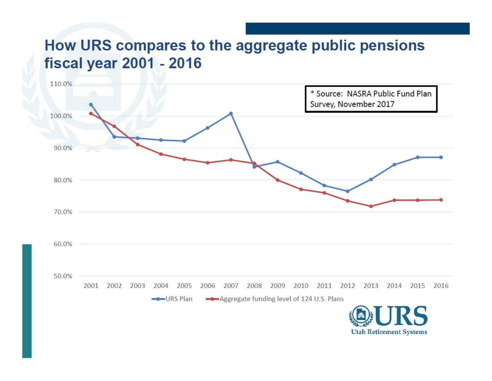#### How URS compares to the aggregate public pensions **fiscal year 2001 - 2016**

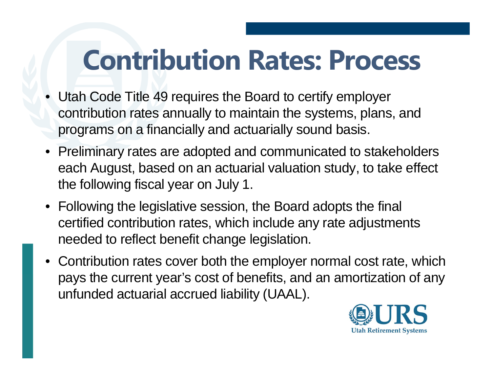# **Contribution Rates: Process**

- Utah Code Title 49 requires the Board to certify employer contribution rates annually to maintain the systems, plans, and programs on a financially and actuarially sound basis.
- Preliminary rates are adopted and communicated to stakeholders each August, based on an actuarial valuation study, to take effect the following fiscal year on July 1.
- Following the legislative session, the Board adopts the final certified contribution rates, which include any rate adjustments needed to reflect benefit change legislation.
- • Contribution rates cover both the employer normal cost rate, which pays the current year's cost of benefits, and an amortization of any unfunded actuarial accrued liability (UAAL).

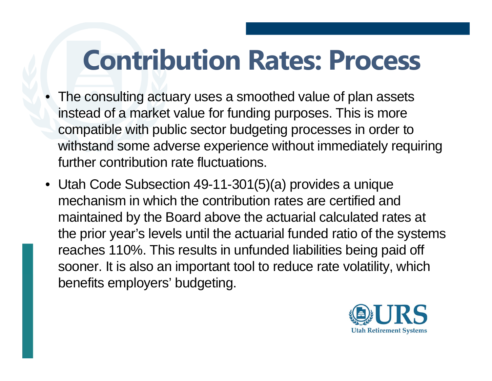# **Contribution Rates: Process**

- The consulting actuary uses a smoothed value of plan assets instead of a market value for funding purposes. This is more compatible with public sector budgeting processes in order to withstand some adverse experience without immediately requiring further contribution rate fluctuations.
- Utah Code Subsection 49-11-301(5)(a) provides a unique mechanism in which the contribution rates are certified and maintained by the Board above the actuarial calculated rates at the prior year's levels until the actuarial funded ratio of the systems reaches 110%. This results in unfunded liabilities being paid off sooner. It is also an important tool to reduce rate volatility, which benefits employers' budgeting.

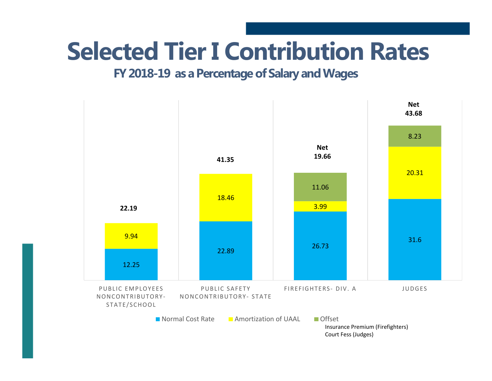### **Selected Tier I Contribution Rates**

#### **FY 2018-19 as a Percentage of Salary and Wages**

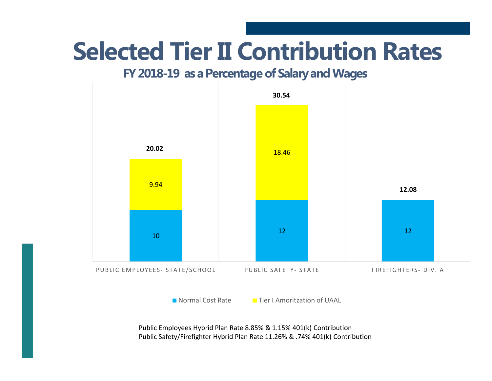### **Selected Tier II Contribution Rates**

#### **FY 2018-19 as a Percentage of Salary and Wages**



Public Employees Hybrid Plan Rate 8.85% & 1.15% 401(k) Contribution Public Safety/Firefighter Hybrid Plan Rate 11.26% & .74% 401(k) Contribution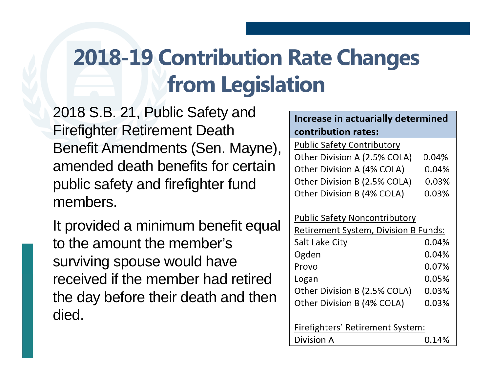#### **2018-19 Contribution Rate Changes from Legislation**

2018 S.B. 21, Public Safety and Firefighter Retirement Death Benefit Amendments (Sen. Mayne), amended death benefits for certain public safety and firefighter fund members.

It provided a minimum benefit equal to the amount the member's surviving spouse would have received if the member had retired the day before their death and then died.

| Increase in actuarially determined   |       |  |
|--------------------------------------|-------|--|
| contribution rates:                  |       |  |
| <b>Public Safety Contributory</b>    |       |  |
| Other Division A (2.5% COLA)         | 0.04% |  |
| Other Division A (4% COLA)           | 0.04% |  |
| Other Division B (2.5% COLA)         | 0.03% |  |
| Other Division B (4% COLA)           | 0.03% |  |
|                                      |       |  |
| <b>Public Safety Noncontributory</b> |       |  |
| Retirement System, Division B Funds: |       |  |
| Salt Lake City                       | 0.04% |  |
| Ogden                                | 0.04% |  |
| Provo                                | 0.07% |  |
| Logan                                | 0.05% |  |
| Other Division B (2.5% COLA)         | 0.03% |  |
| Other Division B (4% COLA)           | 0.03% |  |
|                                      |       |  |
| Firefighters' Retirement System:     |       |  |
| Division A                           | 0.14% |  |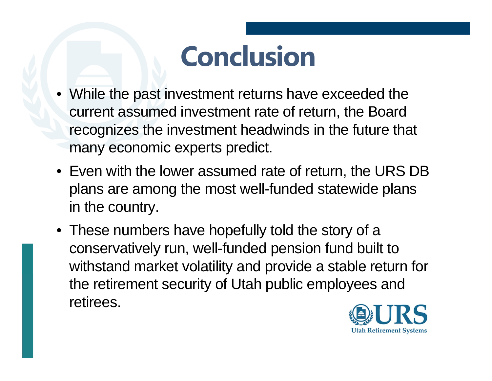# **Conclusion**

- While the past investment returns have exceeded the current assumed investment rate of return, the Board recognizes the investment headwinds in the future that many economic experts predict.
- Even with the lower assumed rate of return, the URS DB plans are among the most well-funded statewide plans in the country.
- These numbers have hopefully told the story of a conservatively run, well-funded pension fund built to withstand market volatility and provide a stable return for the retirement security of Utah public employees and retirees.

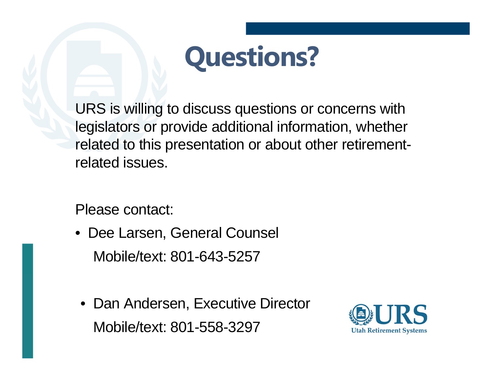

URS is willing to discuss questions or concerns with legislators or provide additional information, whether related to this presentation or about other retirementrelated issues.

Please contact:

- Dee Larsen, General Counsel Mobile/text: 801-643-5257
- Dan Andersen, Executive Director Mobile/text: 801-558-3297

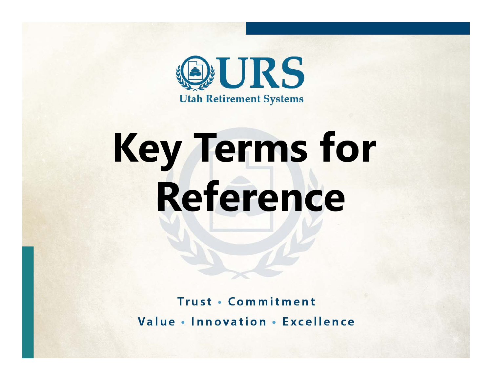

# **Key Terms for Reference**

**Trust · Commitment** Value . Innovation . Excellence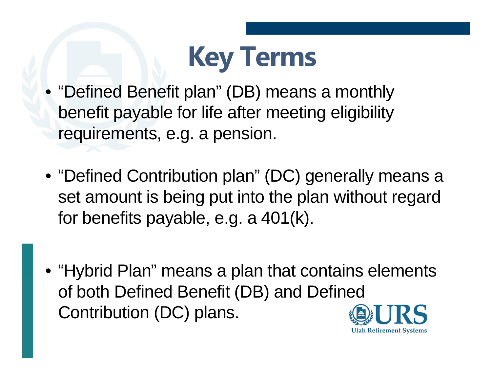

- "Defined Benefit plan" (DB) means a monthly benefit payable for life after meeting eligibility requirements, e.g. a pension.
- "Defined Contribution plan" (DC) generally means a set amount is being put into the plan without regard for benefits payable, e.g. a 401(k).
- "Hybrid Plan" means a plan that contains elements of both Defined Benefit (DB) and Defined Contribution (DC) plans.

**Utah Retirement Systems**